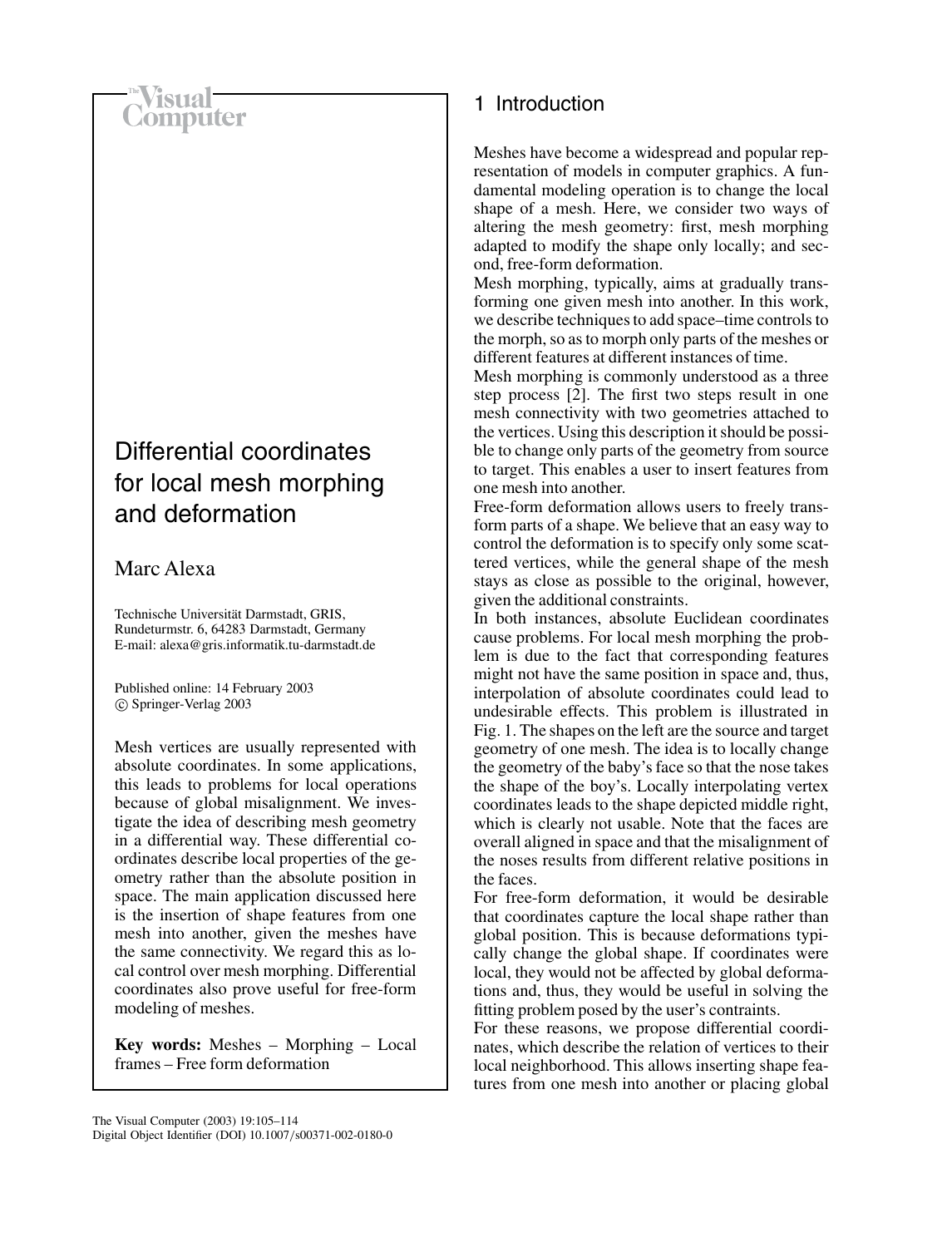# Computer

# Differential coordinates for local mesh morphing and deformation

# Marc Alexa

Technische Universität Darmstadt, GRIS, Rundeturmstr. 6, 64283 Darmstadt, Germany E-mail: alexa@gris.informatik.tu-darmstadt.de

Published online: 14 February 2003 c Springer-Verlag 2003

Mesh vertices are usually represented with absolute coordinates. In some applications, this leads to problems for local operations because of global misalignment. We investigate the idea of describing mesh geometry in a differential way. These differential coordinates describe local properties of the geometry rather than the absolute position in space. The main application discussed here is the insertion of shape features from one mesh into another, given the meshes have the same connectivity. We regard this as local control over mesh morphing. Differential coordinates also prove useful for free-form modeling of meshes.

**Key words:** Meshes – Morphing – Local frames – Free form deformation

# 1 Introduction

Meshes have become a widespread and popular representation of models in computer graphics. A fundamental modeling operation is to change the local shape of a mesh. Here, we consider two ways of altering the mesh geometry: first, mesh morphing adapted to modify the shape only locally; and second, free-form deformation.

Mesh morphing, typically, aims at gradually transforming one given mesh into another. In this work, we describe techniques to add space–time controls to the morph, so as to morph only parts of the meshes or different features at different instances of time.

Mesh morphing is commonly understood as a three step process [2]. The first two steps result in one mesh connectivity with two geometries attached to the vertices. Using this description it should be possible to change only parts of the geometry from source to target. This enables a user to insert features from one mesh into another.

Free-form deformation allows users to freely transform parts of a shape. We believe that an easy way to control the deformation is to specify only some scattered vertices, while the general shape of the mesh stays as close as possible to the original, however, given the additional constraints.

In both instances, absolute Euclidean coordinates cause problems. For local mesh morphing the problem is due to the fact that corresponding features might not have the same position in space and, thus, interpolation of absolute coordinates could lead to undesirable effects. This problem is illustrated in Fig. 1. The shapes on the left are the source and target geometry of one mesh. The idea is to locally change the geometry of the baby's face so that the nose takes the shape of the boy's. Locally interpolating vertex coordinates leads to the shape depicted middle right, which is clearly not usable. Note that the faces are overall aligned in space and that the misalignment of the noses results from different relative positions in the faces.

For free-form deformation, it would be desirable that coordinates capture the local shape rather than global position. This is because deformations typically change the global shape. If coordinates were local, they would not be affected by global deformations and, thus, they would be useful in solving the fitting problem posed by the user's contraints.

For these reasons, we propose differential coordinates, which describe the relation of vertices to their local neighborhood. This allows inserting shape features from one mesh into another or placing global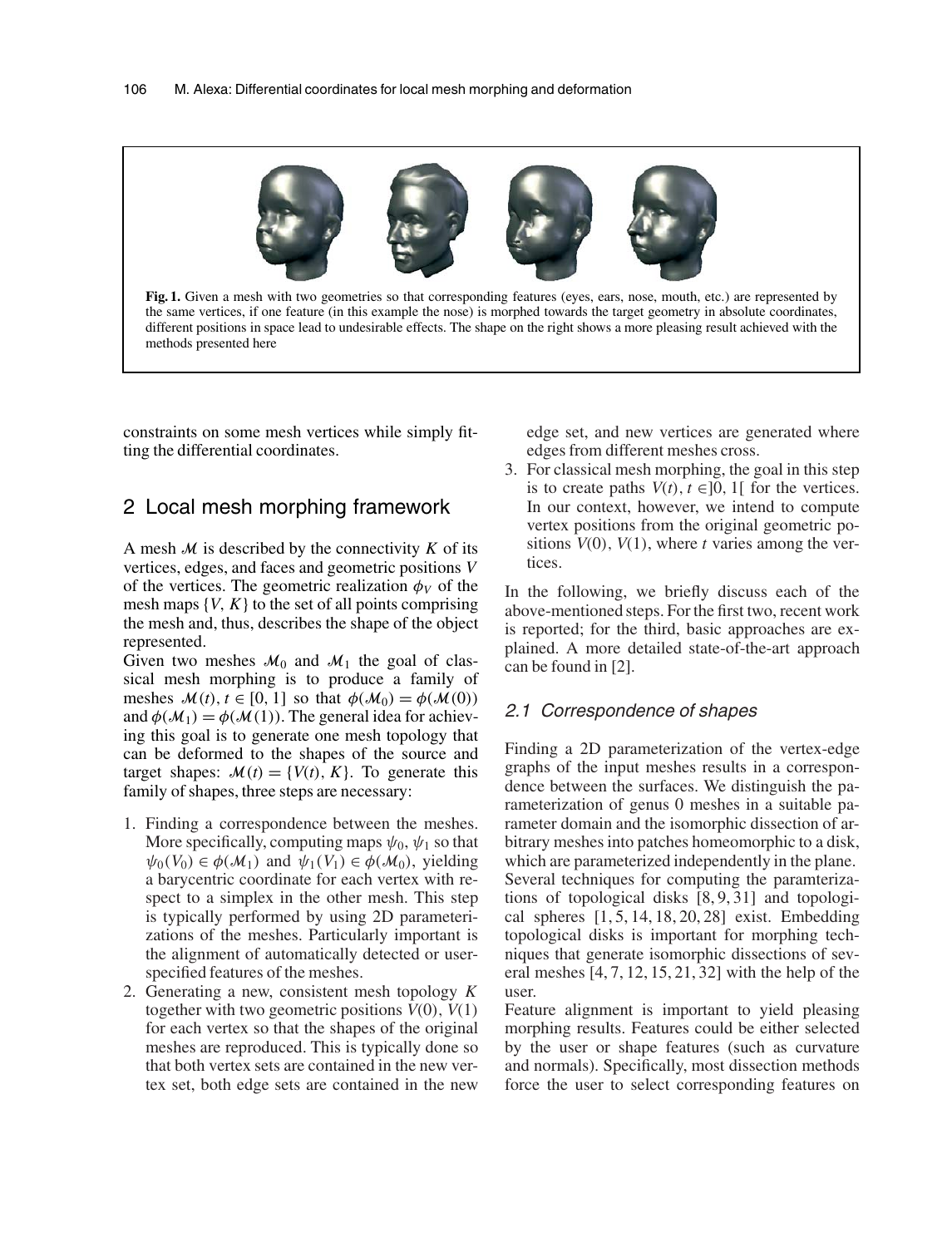

constraints on some mesh vertices while simply fitting the differential coordinates.

# 2 Local mesh morphing framework

A mesh M is described by the connectivity *K* of its vertices, edges, and faces and geometric positions *V* of the vertices. The geometric realization  $\phi_V$  of the mesh maps  $\{V, K\}$  to the set of all points comprising the mesh and, thus, describes the shape of the object represented.

Given two meshes  $\mathcal{M}_0$  and  $\mathcal{M}_1$  the goal of classical mesh morphing is to produce a family of meshes  $\mathcal{M}(t)$ ,  $t \in [0, 1]$  so that  $\phi(\mathcal{M}_0) = \phi(\mathcal{M}(0))$ and  $\phi(\mathcal{M}_1) = \phi(\mathcal{M}(1))$ . The general idea for achieving this goal is to generate one mesh topology that can be deformed to the shapes of the source and target shapes:  $\mathcal{M}(t) = \{V(t), K\}$ . To generate this family of shapes, three steps are necessary:

- 1. Finding a correspondence between the meshes. More specifically, computing maps  $\psi_0$ ,  $\psi_1$  so that  $\psi_0(V_0) \in \phi(\mathcal{M}_1)$  and  $\psi_1(V_1) \in \phi(\mathcal{M}_0)$ , yielding a barycentric coordinate for each vertex with respect to a simplex in the other mesh. This step is typically performed by using 2D parameterizations of the meshes. Particularly important is the alignment of automatically detected or userspecified features of the meshes.
- 2. Generating a new, consistent mesh topology *K* together with two geometric positions  $V(0)$ ,  $V(1)$ for each vertex so that the shapes of the original meshes are reproduced. This is typically done so that both vertex sets are contained in the new vertex set, both edge sets are contained in the new

edge set, and new vertices are generated where edges from different meshes cross.

3. For classical mesh morphing, the goal in this step is to create paths  $V(t)$ ,  $t \in ]0, 1[$  for the vertices. In our context, however, we intend to compute vertex positions from the original geometric positions  $V(0)$ ,  $V(1)$ , where *t* varies among the vertices.

In the following, we briefly discuss each of the above-mentioned steps. For the first two, recent work is reported; for the third, basic approaches are explained. A more detailed state-of-the-art approach can be found in [2].

#### 2.1 Correspondence of shapes

Finding a 2D parameterization of the vertex-edge graphs of the input meshes results in a correspondence between the surfaces. We distinguish the parameterization of genus 0 meshes in a suitable parameter domain and the isomorphic dissection of arbitrary meshes into patches homeomorphic to a disk, which are parameterized independently in the plane. Several techniques for computing the paramterizations of topological disks [8, 9, 31] and topological spheres [1, 5, 14, 18, 20, 28] exist. Embedding topological disks is important for morphing techniques that generate isomorphic dissections of several meshes [4, 7, 12, 15, 21, 32] with the help of the user.

Feature alignment is important to yield pleasing morphing results. Features could be either selected by the user or shape features (such as curvature and normals). Specifically, most dissection methods force the user to select corresponding features on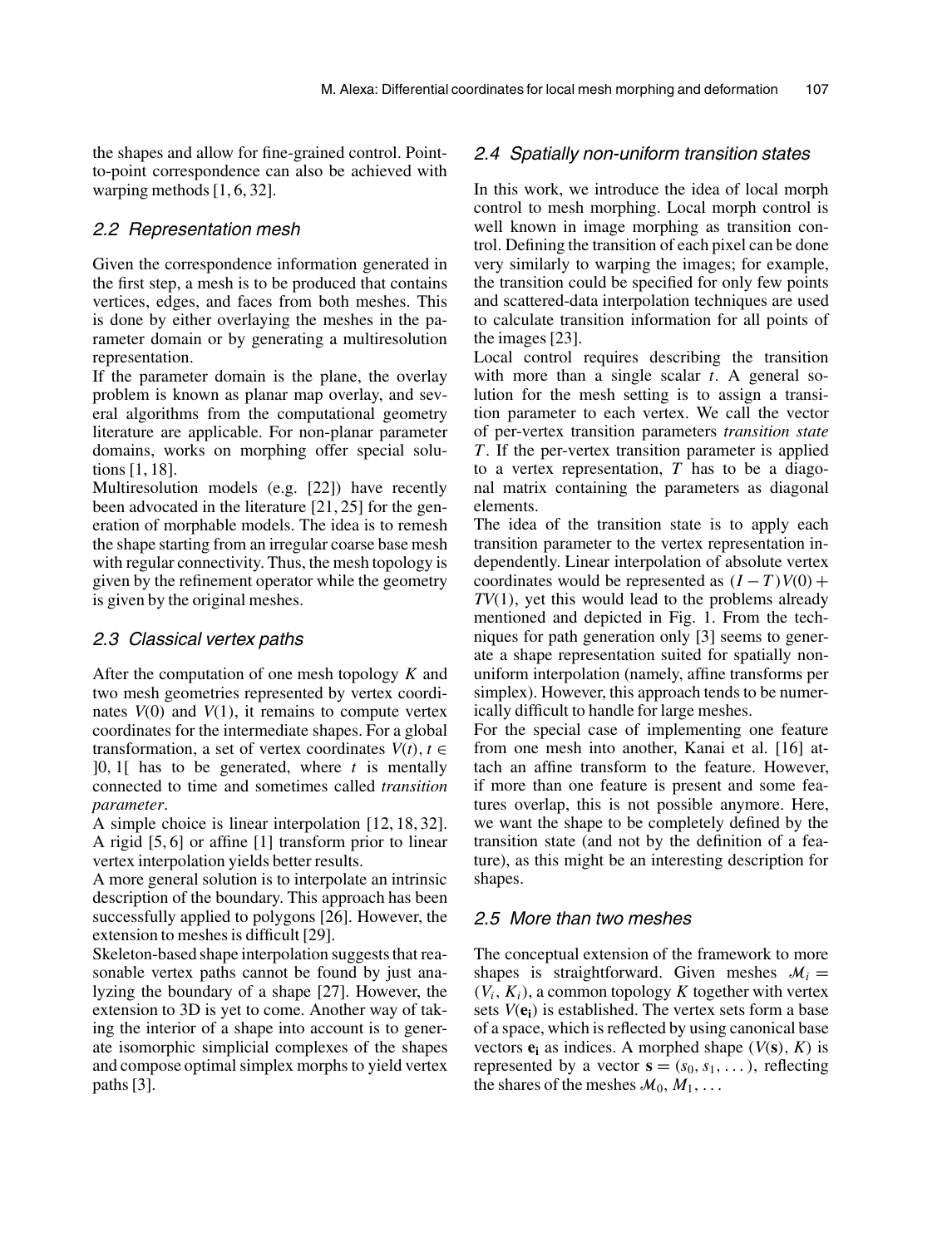the shapes and allow for fine-grained control. Pointto-point correspondence can also be achieved with warping methods [1, 6, 32].

## 2.2 Representation mesh

Given the correspondence information generated in the first step, a mesh is to be produced that contains vertices, edges, and faces from both meshes. This is done by either overlaying the meshes in the parameter domain or by generating a multiresolution representation.

If the parameter domain is the plane, the overlay problem is known as planar map overlay, and several algorithms from the computational geometry literature are applicable. For non-planar parameter domains, works on morphing offer special solutions [1, 18].

Multiresolution models (e.g. [22]) have recently been advocated in the literature [21, 25] for the generation of morphable models. The idea is to remesh the shape starting from an irregular coarse base mesh with regular connectivity. Thus, the mesh topology is given by the refinement operator while the geometry is given by the original meshes.

# 2.3 Classical vertex paths

After the computation of one mesh topology *K* and two mesh geometries represented by vertex coordinates  $V(0)$  and  $V(1)$ , it remains to compute vertex coordinates for the intermediate shapes. For a global transformation, a set of vertex coordinates  $V(t)$ ,  $t \in$ ]0, 1[ has to be generated, where *t* is mentally connected to time and sometimes called *transition parameter*.

A simple choice is linear interpolation [12, 18, 32]. A rigid [5, 6] or affine [1] transform prior to linear vertex interpolation yields better results.

A more general solution is to interpolate an intrinsic description of the boundary. This approach has been successfully applied to polygons [26]. However, the extension to meshes is difficult [29].

Skeleton-based shape interpolation suggests that reasonable vertex paths cannot be found by just analyzing the boundary of a shape [27]. However, the extension to 3D is yet to come. Another way of taking the interior of a shape into account is to generate isomorphic simplicial complexes of the shapes and compose optimal simplex morphs to yield vertex paths [3].

# 2.4 Spatially non-uniform transition states

In this work, we introduce the idea of local morph control to mesh morphing. Local morph control is well known in image morphing as transition control. Defining the transition of each pixel can be done very similarly to warping the images; for example, the transition could be specified for only few points and scattered-data interpolation techniques are used to calculate transition information for all points of the images [23].

Local control requires describing the transition with more than a single scalar *t*. A general solution for the mesh setting is to assign a transition parameter to each vertex. We call the vector of per-vertex transition parameters *transition state T*. If the per-vertex transition parameter is applied to a vertex representation, *T* has to be a diagonal matrix containing the parameters as diagonal elements.

The idea of the transition state is to apply each transition parameter to the vertex representation independently. Linear interpolation of absolute vertex coordinates would be represented as  $(I - T)V(0)$  + *TV*(1), yet this would lead to the problems already mentioned and depicted in Fig. 1. From the techniques for path generation only [3] seems to generate a shape representation suited for spatially nonuniform interpolation (namely, affine transforms per simplex). However, this approach tends to be numerically difficult to handle for large meshes.

For the special case of implementing one feature from one mesh into another, Kanai et al. [16] attach an affine transform to the feature. However, if more than one feature is present and some features overlap, this is not possible anymore. Here, we want the shape to be completely defined by the transition state (and not by the definition of a feature), as this might be an interesting description for shapes.

# 2.5 More than two meshes

The conceptual extension of the framework to more shapes is straightforward. Given meshes  $\mathcal{M}_i =$  $(V_i, K_i)$ , a common topology *K* together with vertex sets  $V(\mathbf{e_i})$  is established. The vertex sets form a base of a space, which is reflected by using canonical base vectors  $e_i$  as indices. A morphed shape  $(V(s), K)$  is represented by a vector  $\mathbf{s} = (s_0, s_1, \dots)$ , reflecting the shares of the meshes  $\mathcal{M}_0, M_1, \ldots$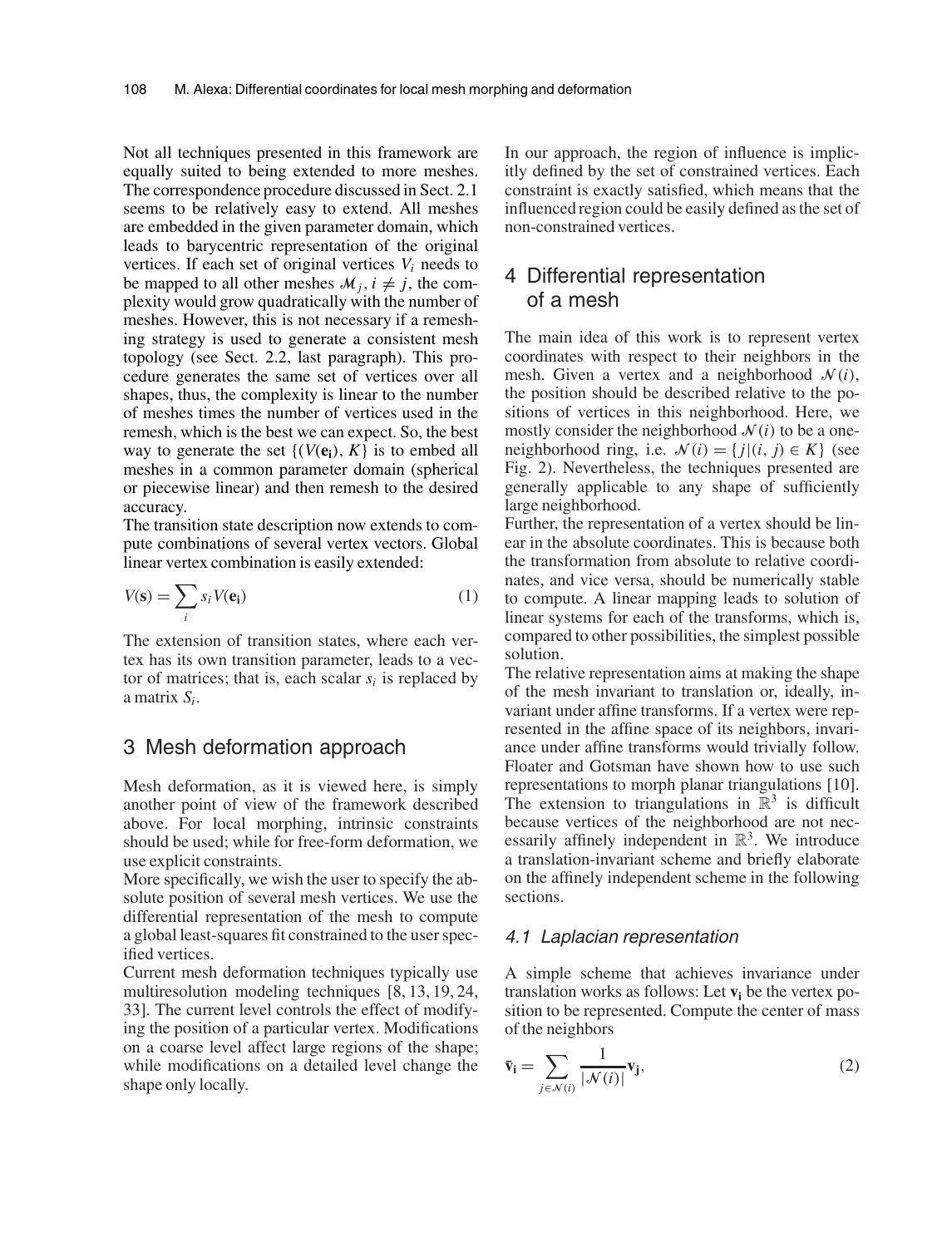Not all techniques presented in this framework are equally suited to being extended to more meshes. The correspondence procedure discussed in Sect. 2.1 seems to be relatively easy to extend. All meshes are embedded in the given parameter domain, which leads to barycentric representation of the original vertices. If each set of original vertices  $V_i$  needs to be mapped to all other meshes  $\mathcal{M}_i$ ,  $i \neq j$ , the complexity would grow quadratically with the number of meshes. However, this is not necessary if a remeshing strategy is used to generate a consistent mesh topology (see Sect. 2.2, last paragraph). This procedure generates the same set of vertices over all shapes, thus, the complexity is linear to the number of meshes times the number of vertices used in the remesh, which is the best we can expect. So, the best way to generate the set  $\{(V(\mathbf{e}_i), K\})$  is to embed all meshes in a common parameter domain (spherical or piecewise linear) and then remesh to the desired accuracy.

The transition state description now extends to compute combinations of several vertex vectors. Global linear vertex combination is easily extended:

$$
V(\mathbf{s}) = \sum_{i} s_i V(\mathbf{e_i})
$$
 (1)

The extension of transition states, where each vertex has its own transition parameter, leads to a vector of matrices; that is, each scalar  $s_i$  is replaced by a matrix *Si*.

## 3 Mesh deformation approach

Mesh deformation, as it is viewed here, is simply another point of view of the framework described above. For local morphing, intrinsic constraints should be used; while for free-form deformation, we use explicit constraints.

More specifically, we wish the user to specify the absolute position of several mesh vertices. We use the differential representation of the mesh to compute a global least-squares fit constrained to the user specified vertices.

Current mesh deformation techniques typically use multiresolution modeling techniques [8, 13, 19, 24, 33]. The current level controls the effect of modifying the position of a particular vertex. Modifications on a coarse level affect large regions of the shape; while modifications on a detailed level change the shape only locally.

In our approach, the region of influence is implicitly defined by the set of constrained vertices. Each constraint is exactly satisfied, which means that the influenced region could be easily defined as the set of non-constrained vertices.

# 4 Differential representation of a mesh

The main idea of this work is to represent vertex coordinates with respect to their neighbors in the mesh. Given a vertex and a neighborhood  $\mathcal{N}(i)$ , the position should be described relative to the positions of vertices in this neighborhood. Here, we mostly consider the neighborhood  $\mathcal{N}(i)$  to be a oneneighborhood ring, i.e.  $\mathcal{N}(i) = \{j | (i, j) \in K\}$  (see Fig. 2). Nevertheless, the techniques presented are generally applicable to any shape of sufficiently large neighborhood.

Further, the representation of a vertex should be linear in the absolute coordinates. This is because both the transformation from absolute to relative coordinates, and vice versa, should be numerically stable to compute. A linear mapping leads to solution of linear systems for each of the transforms, which is, compared to other possibilities, the simplest possible solution.

The relative representation aims at making the shape of the mesh invariant to translation or, ideally, invariant under affine transforms. If a vertex were represented in the affine space of its neighbors, invariance under affine transforms would trivially follow. Floater and Gotsman have shown how to use such representations to morph planar triangulations [10]. The extension to triangulations in  $\mathbb{R}^3$  is difficult because vertices of the neighborhood are not necessarily affinely independent in  $\mathbb{R}^3$ . We introduce a translation-invariant scheme and briefly elaborate on the affinely independent scheme in the following sections.

#### 4.1 Laplacian representation

A simple scheme that achieves invariance under translation works as follows: Let **vi** be the vertex position to be represented. Compute the center of mass of the neighbors

$$
\bar{\mathbf{v}}_{\mathbf{i}} = \sum_{j \in \mathcal{N}(i)} \frac{1}{|\mathcal{N}(i)|} \mathbf{v}_{\mathbf{j}},\tag{2}
$$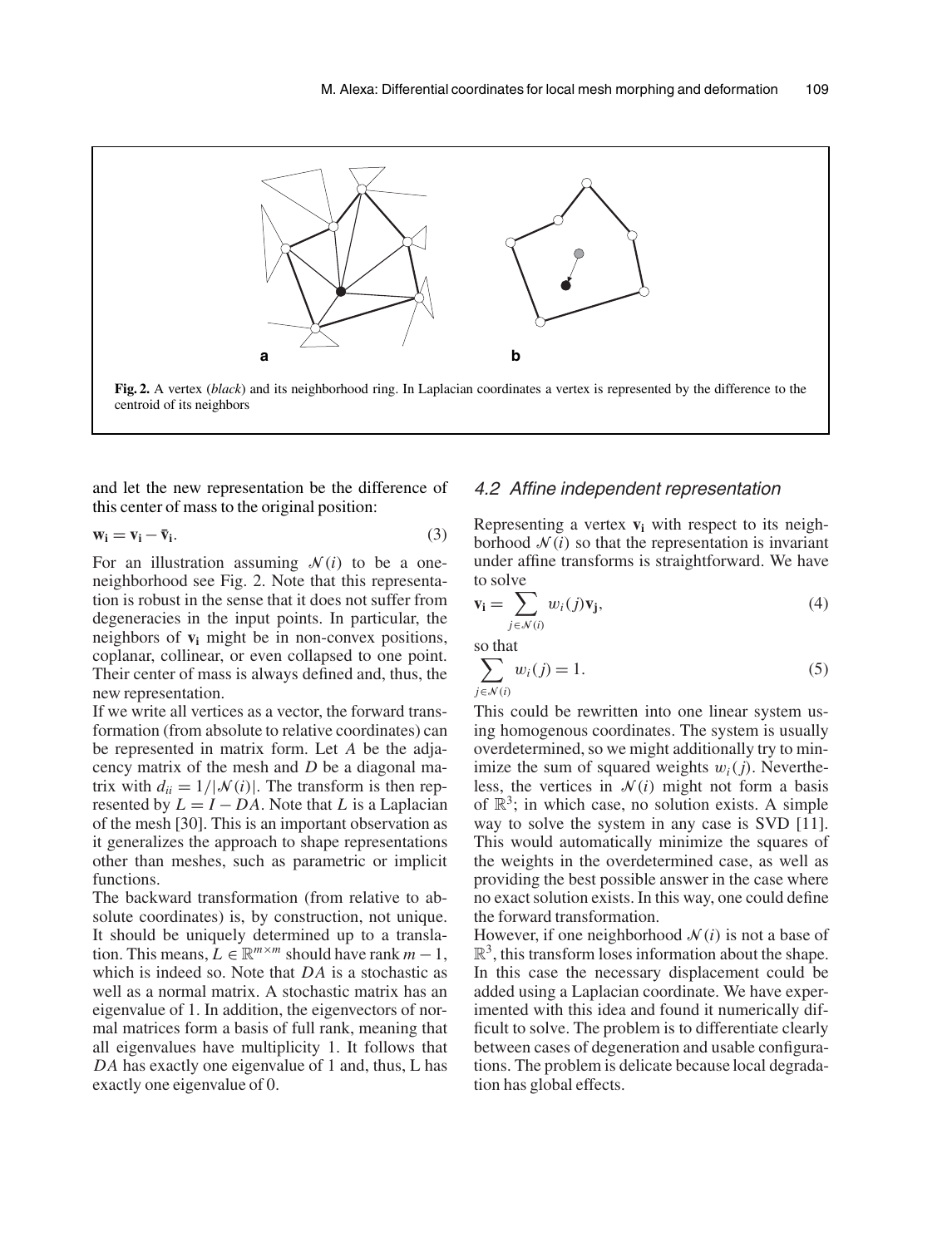

and let the new representation be the difference of this center of mass to the original position:

$$
\mathbf{w_i} = \mathbf{v_i} - \mathbf{\bar{v}_i}.\tag{3}
$$

For an illustration assuming  $\mathcal{N}(i)$  to be a oneneighborhood see Fig. 2. Note that this representation is robust in the sense that it does not suffer from degeneracies in the input points. In particular, the neighbors of **vi** might be in non-convex positions, coplanar, collinear, or even collapsed to one point. Their center of mass is always defined and, thus, the new representation.

If we write all vertices as a vector, the forward transformation (from absolute to relative coordinates) can be represented in matrix form. Let *A* be the adjacency matrix of the mesh and *D* be a diagonal matrix with  $d_{ii} = 1/|\mathcal{N}(i)|$ . The transform is then represented by  $L = I - DA$ . Note that *L* is a Laplacian of the mesh [30]. This is an important observation as it generalizes the approach to shape representations other than meshes, such as parametric or implicit functions.

The backward transformation (from relative to absolute coordinates) is, by construction, not unique. It should be uniquely determined up to a translation. This means,  $L \in \mathbb{R}^{m \times m}$  should have rank  $m - 1$ , which is indeed so. Note that *DA* is a stochastic as well as a normal matrix. A stochastic matrix has an eigenvalue of 1. In addition, the eigenvectors of normal matrices form a basis of full rank, meaning that all eigenvalues have multiplicity 1. It follows that *DA* has exactly one eigenvalue of 1 and, thus, L has exactly one eigenvalue of 0.

#### 4.2 Affine independent representation

Representing a vertex **vi** with respect to its neighborhood  $\mathcal{N}(i)$  so that the representation is invariant under affine transforms is straightforward. We have to solve

$$
\mathbf{v_i} = \sum_{j \in \mathcal{N}(i)} w_i(j) \mathbf{v_j},\tag{4}
$$

so that

$$
\sum_{j \in \mathcal{N}(i)} w_i(j) = 1. \tag{5}
$$

This could be rewritten into one linear system using homogenous coordinates. The system is usually overdetermined, so we might additionally try to minimize the sum of squared weights  $w_i(j)$ . Nevertheless, the vertices in  $\mathcal{N}(i)$  might not form a basis of  $\mathbb{R}^3$ ; in which case, no solution exists. A simple way to solve the system in any case is SVD [11]. This would automatically minimize the squares of the weights in the overdetermined case, as well as providing the best possible answer in the case where no exact solution exists. In this way, one could define the forward transformation.

However, if one neighborhood  $\mathcal{N}(i)$  is not a base of  $\mathbb{R}^3$ , this transform loses information about the shape. In this case the necessary displacement could be added using a Laplacian coordinate. We have experimented with this idea and found it numerically difficult to solve. The problem is to differentiate clearly between cases of degeneration and usable configurations. The problem is delicate because local degradation has global effects.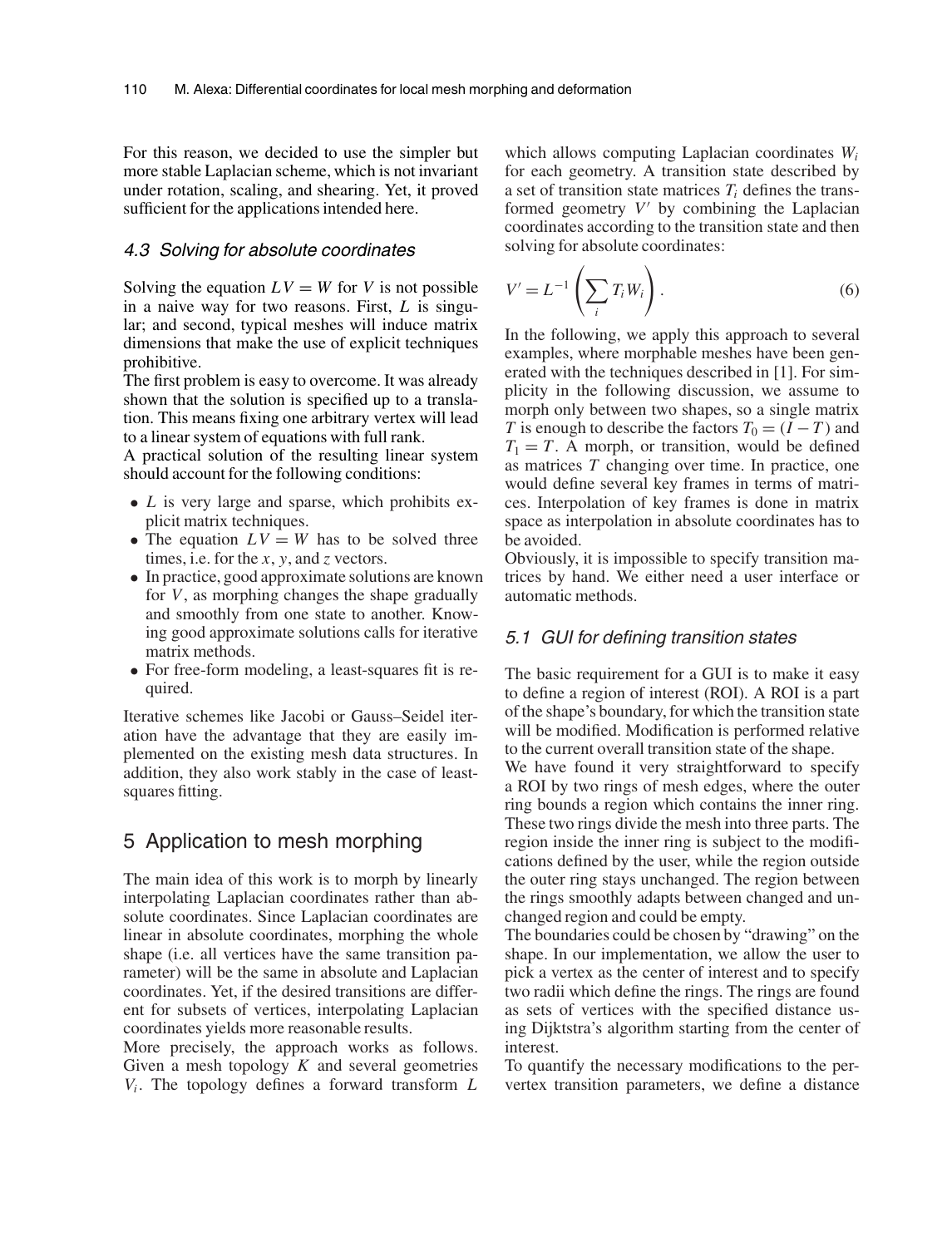For this reason, we decided to use the simpler but more stable Laplacian scheme, which is not invariant under rotation, scaling, and shearing. Yet, it proved sufficient for the applications intended here.

#### 4.3 Solving for absolute coordinates

Solving the equation  $LV = W$  for *V* is not possible in a naive way for two reasons. First, *L* is singular; and second, typical meshes will induce matrix dimensions that make the use of explicit techniques prohibitive.

The first problem is easy to overcome. It was already shown that the solution is specified up to a translation. This means fixing one arbitrary vertex will lead to a linear system of equations with full rank.

A practical solution of the resulting linear system should account for the following conditions:

- *L* is very large and sparse, which prohibits explicit matrix techniques.
- The equation  $LV = W$  has to be solved three times, i.e. for the *x*, *y*, and *z* vectors.
- In practice, good approximate solutions are known for *V*, as morphing changes the shape gradually and smoothly from one state to another. Knowing good approximate solutions calls for iterative matrix methods.
- For free-form modeling, a least-squares fit is required.

Iterative schemes like Jacobi or Gauss–Seidel iteration have the advantage that they are easily implemented on the existing mesh data structures. In addition, they also work stably in the case of leastsquares fitting.

# 5 Application to mesh morphing

The main idea of this work is to morph by linearly interpolating Laplacian coordinates rather than absolute coordinates. Since Laplacian coordinates are linear in absolute coordinates, morphing the whole shape (i.e. all vertices have the same transition parameter) will be the same in absolute and Laplacian coordinates. Yet, if the desired transitions are different for subsets of vertices, interpolating Laplacian coordinates yields more reasonable results.

More precisely, the approach works as follows. Given a mesh topology *K* and several geometries *Vi*. The topology defines a forward transform *L* which allows computing Laplacian coordinates *Wi* for each geometry. A transition state described by a set of transition state matrices  $T_i$  defines the transformed geometry  $V'$  by combining the Laplacian coordinates according to the transition state and then solving for absolute coordinates:

$$
V' = L^{-1} \left( \sum_{i} T_i W_i \right). \tag{6}
$$

In the following, we apply this approach to several examples, where morphable meshes have been generated with the techniques described in [1]. For simplicity in the following discussion, we assume to morph only between two shapes, so a single matrix *T* is enough to describe the factors  $T_0 = (I - T)$  and  $T_1 = T$ . A morph, or transition, would be defined as matrices *T* changing over time. In practice, one would define several key frames in terms of matrices. Interpolation of key frames is done in matrix space as interpolation in absolute coordinates has to be avoided.

Obviously, it is impossible to specify transition matrices by hand. We either need a user interface or automatic methods.

#### 5.1 GUI for defining transition states

The basic requirement for a GUI is to make it easy to define a region of interest (ROI). A ROI is a part of the shape's boundary, for which the transition state will be modified. Modification is performed relative to the current overall transition state of the shape.

We have found it very straightforward to specify a ROI by two rings of mesh edges, where the outer ring bounds a region which contains the inner ring. These two rings divide the mesh into three parts. The region inside the inner ring is subject to the modifications defined by the user, while the region outside the outer ring stays unchanged. The region between the rings smoothly adapts between changed and unchanged region and could be empty.

The boundaries could be chosen by "drawing" on the shape. In our implementation, we allow the user to pick a vertex as the center of interest and to specify two radii which define the rings. The rings are found as sets of vertices with the specified distance using Dijktstra's algorithm starting from the center of interest.

To quantify the necessary modifications to the pervertex transition parameters, we define a distance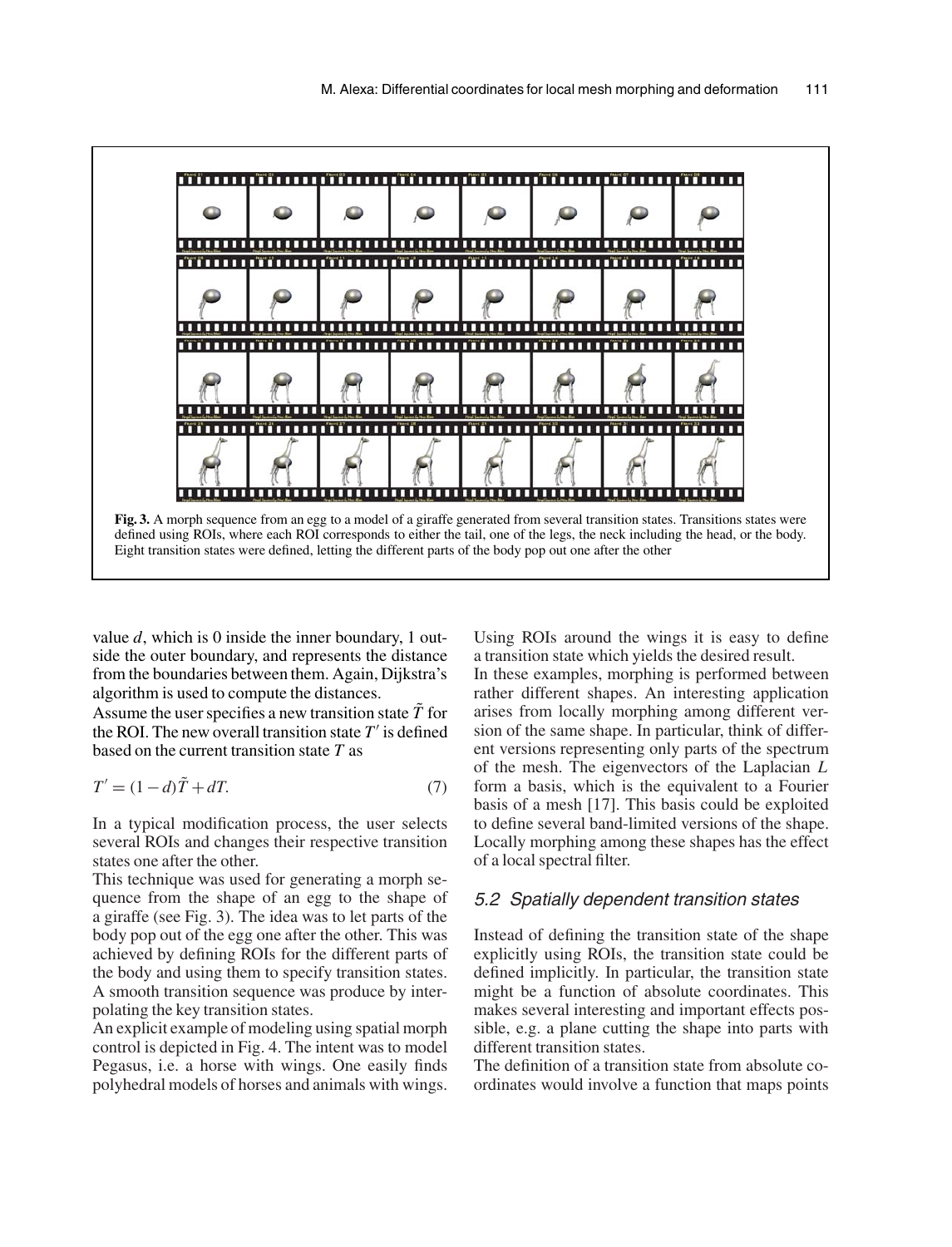

value *d*, which is 0 inside the inner boundary, 1 outside the outer boundary, and represents the distance from the boundaries between them. Again, Dijkstra's algorithm is used to compute the distances.

Assume the user specifies a new transition state  $\tilde{T}$  for the ROI. The new overall transition state  $T'$  is defined based on the current transition state *T* as

$$
T' = (1 - d)\tilde{T} + dT.
$$
\n(7)

In a typical modification process, the user selects several ROIs and changes their respective transition states one after the other.

This technique was used for generating a morph sequence from the shape of an egg to the shape of a giraffe (see Fig. 3). The idea was to let parts of the body pop out of the egg one after the other. This was achieved by defining ROIs for the different parts of the body and using them to specify transition states. A smooth transition sequence was produce by interpolating the key transition states.

An explicit example of modeling using spatial morph control is depicted in Fig. 4. The intent was to model Pegasus, i.e. a horse with wings. One easily finds polyhedral models of horses and animals with wings. Using ROIs around the wings it is easy to define a transition state which yields the desired result. In these examples, morphing is performed between rather different shapes. An interesting application arises from locally morphing among different version of the same shape. In particular, think of different versions representing only parts of the spectrum of the mesh. The eigenvectors of the Laplacian *L* form a basis, which is the equivalent to a Fourier basis of a mesh [17]. This basis could be exploited to define several band-limited versions of the shape. Locally morphing among these shapes has the effect of a local spectral filter.

#### 5.2 Spatially dependent transition states

Instead of defining the transition state of the shape explicitly using ROIs, the transition state could be defined implicitly. In particular, the transition state might be a function of absolute coordinates. This makes several interesting and important effects possible, e.g. a plane cutting the shape into parts with different transition states.

The definition of a transition state from absolute coordinates would involve a function that maps points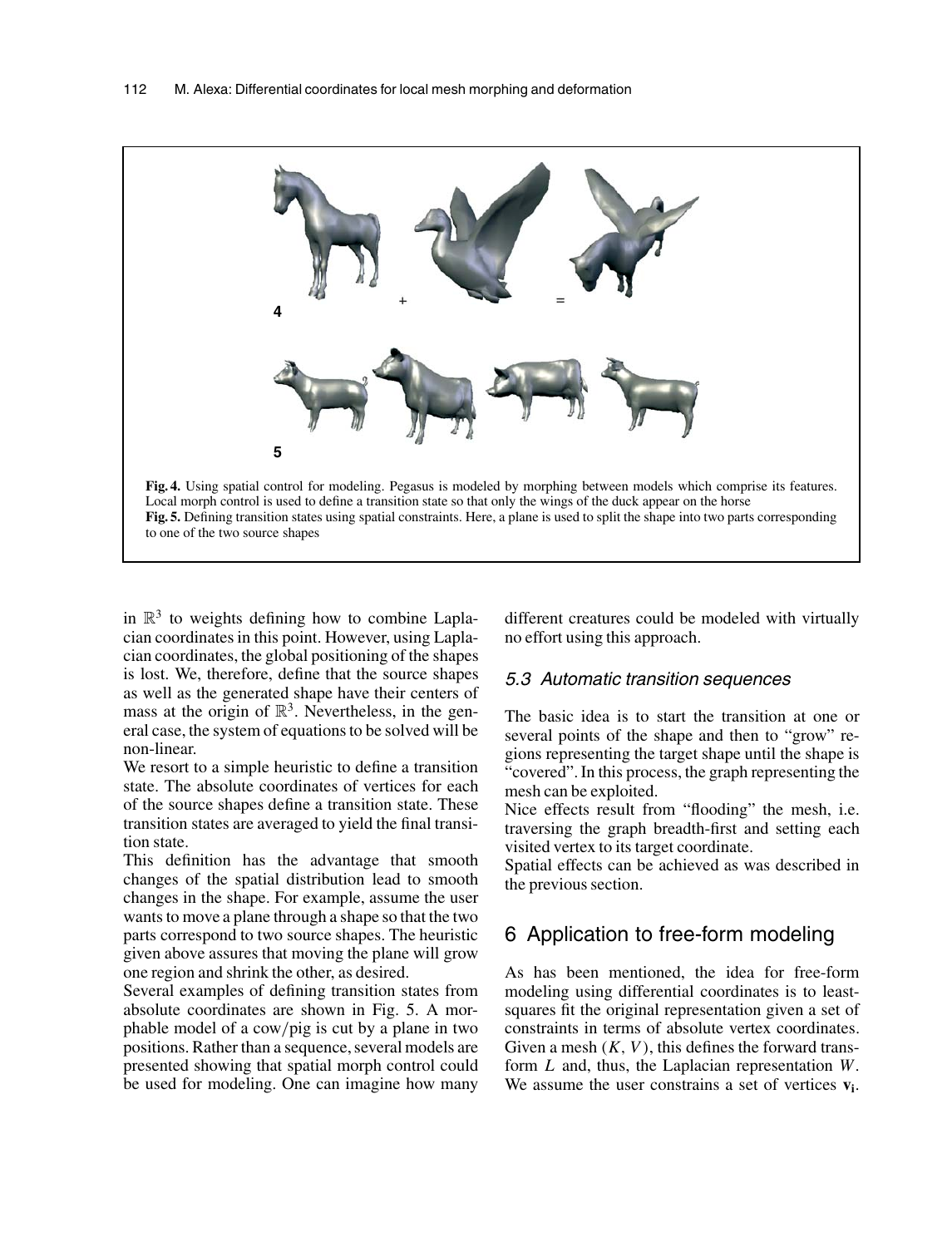

in  $\mathbb{R}^3$  to weights defining how to combine Laplacian coordinates in this point. However, using Laplacian coordinates, the global positioning of the shapes is lost. We, therefore, define that the source shapes as well as the generated shape have their centers of mass at the origin of  $\mathbb{R}^3$ . Nevertheless, in the general case, the system of equations to be solved will be non-linear.

We resort to a simple heuristic to define a transition state. The absolute coordinates of vertices for each of the source shapes define a transition state. These transition states are averaged to yield the final transition state.

This definition has the advantage that smooth changes of the spatial distribution lead to smooth changes in the shape. For example, assume the user wants to move a plane through a shape so that the two parts correspond to two source shapes. The heuristic given above assures that moving the plane will grow one region and shrink the other, as desired.

Several examples of defining transition states from absolute coordinates are shown in Fig. 5. A morphable model of a cow/pig is cut by a plane in two positions. Rather than a sequence, several models are presented showing that spatial morph control could be used for modeling. One can imagine how many

different creatures could be modeled with virtually no effort using this approach.

#### 5.3 Automatic transition sequences

The basic idea is to start the transition at one or several points of the shape and then to "grow" regions representing the target shape until the shape is "covered". In this process, the graph representing the mesh can be exploited.

Nice effects result from "flooding" the mesh, i.e. traversing the graph breadth-first and setting each visited vertex to its target coordinate.

Spatial effects can be achieved as was described in the previous section.

# 6 Application to free-form modeling

As has been mentioned, the idea for free-form modeling using differential coordinates is to leastsquares fit the original representation given a set of constraints in terms of absolute vertex coordinates. Given a mesh  $(K, V)$ , this defines the forward transform *L* and, thus, the Laplacian representation *W*. We assume the user constrains a set of vertices **vi**.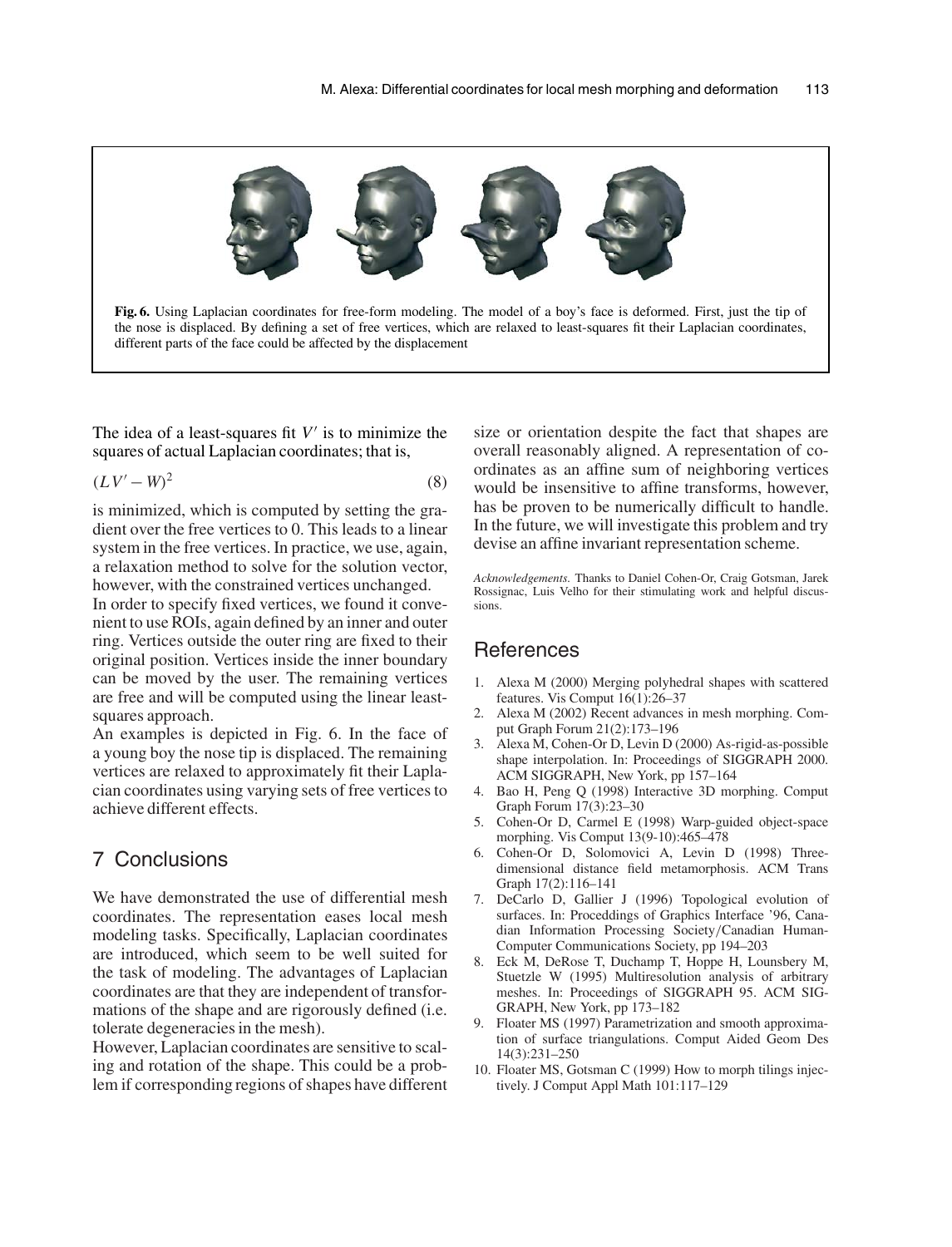

**Fig. 6.** Using Laplacian coordinates for free-form modeling. The model of a boy's face is deformed. First, just the tip of the nose is displaced. By defining a set of free vertices, which are relaxed to least-squares fit their Laplacian coordinates, different parts of the face could be affected by the displacement

The idea of a least-squares fit  $V'$  is to minimize the squares of actual Laplacian coordinates; that is,

$$
(LV'-W)^2\tag{8}
$$

is minimized, which is computed by setting the gradient over the free vertices to 0. This leads to a linear system in the free vertices. In practice, we use, again, a relaxation method to solve for the solution vector, however, with the constrained vertices unchanged. In order to specify fixed vertices, we found it convenient to use ROIs, again defined by an inner and outer ring. Vertices outside the outer ring are fixed to their original position. Vertices inside the inner boundary can be moved by the user. The remaining vertices are free and will be computed using the linear leastsquares approach.

An examples is depicted in Fig. 6. In the face of a young boy the nose tip is displaced. The remaining vertices are relaxed to approximately fit their Laplacian coordinates using varying sets of free vertices to achieve different effects.

# 7 Conclusions

We have demonstrated the use of differential mesh coordinates. The representation eases local mesh modeling tasks. Specifically, Laplacian coordinates are introduced, which seem to be well suited for the task of modeling. The advantages of Laplacian coordinates are that they are independent of transformations of the shape and are rigorously defined (i.e. tolerate degeneracies in the mesh).

However, Laplacian coordinates are sensitive to scaling and rotation of the shape. This could be a problem if corresponding regions of shapes have different size or orientation despite the fact that shapes are overall reasonably aligned. A representation of coordinates as an affine sum of neighboring vertices would be insensitive to affine transforms, however, has be proven to be numerically difficult to handle. In the future, we will investigate this problem and try devise an affine invariant representation scheme.

*Acknowledgements.* Thanks to Daniel Cohen-Or, Craig Gotsman, Jarek Rossignac, Luis Velho for their stimulating work and helpful discussions.

## **References**

- 1. Alexa M (2000) Merging polyhedral shapes with scattered features. Vis Comput 16(1):26–37
- 2. Alexa M (2002) Recent advances in mesh morphing. Comput Graph Forum 21(2):173–196
- 3. Alexa M, Cohen-Or D, Levin D (2000) As-rigid-as-possible shape interpolation. In: Proceedings of SIGGRAPH 2000. ACM SIGGRAPH, New York, pp 157–164
- 4. Bao H, Peng Q (1998) Interactive 3D morphing. Comput Graph Forum 17(3):23–30
- 5. Cohen-Or D, Carmel E (1998) Warp-guided object-space morphing. Vis Comput 13(9-10):465–478
- 6. Cohen-Or D, Solomovici A, Levin D (1998) Threedimensional distance field metamorphosis. ACM Trans Graph 17(2):116–141
- 7. DeCarlo D, Gallier J (1996) Topological evolution of surfaces. In: Proceddings of Graphics Interface '96, Canadian Information Processing Society/Canadian Human-Computer Communications Society, pp 194–203
- 8. Eck M, DeRose T, Duchamp T, Hoppe H, Lounsbery M, Stuetzle W (1995) Multiresolution analysis of arbitrary meshes. In: Proceedings of SIGGRAPH 95. ACM SIG-GRAPH, New York, pp 173–182
- 9. Floater MS (1997) Parametrization and smooth approximation of surface triangulations. Comput Aided Geom Des 14(3):231–250
- 10. Floater MS, Gotsman C (1999) How to morph tilings injectively. J Comput Appl Math 101:117–129